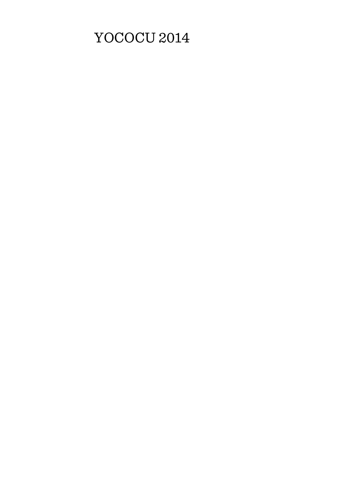# YOCOCU 2014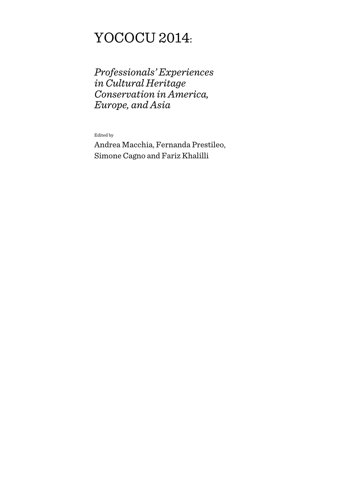# YOCOCU 2014:

*Professionals' Experiences in Cultural Heritage Conservation in America, Europe, and Asia* 

Edited by

Andrea Macchia, Fernanda Prestileo, Simone Cagno and Fariz Khalilli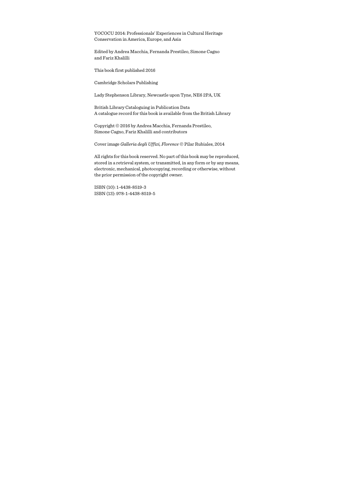YOCOCU 2014: Professionals' Experiences in Cultural Heritage Conservation in America, Europe, and Asia

Edited by Andrea Macchia, Fernanda Prestileo, Simone Cagno and Fariz Khalilli

This book first published 2016

Cambridge Scholars Publishing

Lady Stephenson Library, Newcastle upon Tyne, NE6 2PA, UK

British Library Cataloguing in Publication Data A catalogue record for this book is available from the British Library

Copyright © 2016 by Andrea Macchia, Fernanda Prestileo, Simone Cagno, Fariz Khalilli and contributors

Cover image *Galleria degli Uffizi, Florence* © Pilar Rubiales, 2014

All rights for this book reserved. No part of this book may be reproduced, stored in a retrieval system, or transmitted, in any form or by any means, electronic, mechanical, photocopying, recording or otherwise, without the prior permission of the copyright owner.

ISBN (10): 1-4438-8519-3 ISBN (13): 978-1-4438-8519-5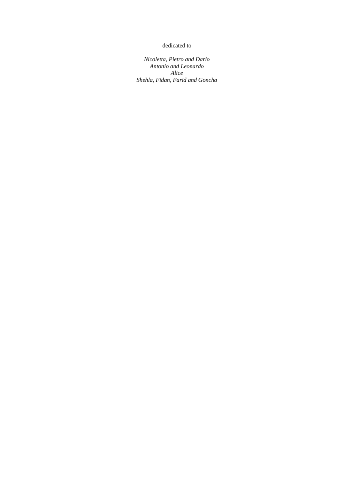#### dedicated to

*Nicoletta, Pietro and Dario Antonio and Leonardo Alice Shehla, Fidan, Farid and Goncha*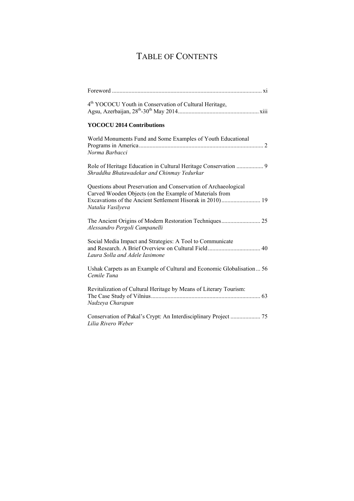# TABLE OF CONTENTS

| 4 <sup>th</sup> YOCOCU Youth in Conservation of Cultural Heritage,                                                                                                                                           |
|--------------------------------------------------------------------------------------------------------------------------------------------------------------------------------------------------------------|
| <b>YOCOCU 2014 Contributions</b>                                                                                                                                                                             |
| World Monuments Fund and Some Examples of Youth Educational<br>Norma Barbacci                                                                                                                                |
| Shraddha Bhatawadekar and Chinmay Yedurkar                                                                                                                                                                   |
| Questions about Preservation and Conservation of Archaeological<br>Carved Wooden Objects (on the Example of Materials from<br>Excavations of the Ancient Settlement Hisorak in 2010) 19<br>Natalia Vasilyeva |
| Alessandro Pergoli Campanelli                                                                                                                                                                                |
| Social Media Impact and Strategies: A Tool to Communicate<br>Laura Solla and Adele Iasimone                                                                                                                  |
| Ushak Carpets as an Example of Cultural and Economic Globalisation 56<br>Cemile Tuna                                                                                                                         |
| Revitalization of Cultural Heritage by Means of Literary Tourism:<br>Nadzeya Charapan                                                                                                                        |
| Lilia Rivero Weber                                                                                                                                                                                           |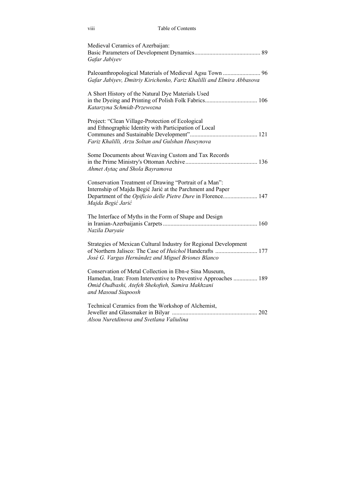| viii                                              | Table of Contents                                                                                                                                                                         |  |
|---------------------------------------------------|-------------------------------------------------------------------------------------------------------------------------------------------------------------------------------------------|--|
| Medieval Ceramics of Azerbaijan:<br>Gafar Jabiyev |                                                                                                                                                                                           |  |
|                                                   | Gafar Jabiyev, Dmitriy Kirichenko, Fariz Khalilli and Elmira Abbasova                                                                                                                     |  |
| Katarzyna Schmidt-Przewozna                       | A Short History of the Natural Dye Materials Used                                                                                                                                         |  |
|                                                   | Project: "Clean Village-Protection of Ecological<br>and Ethnographic Identity with Participation of Local<br>Fariz Khalilli, Arzu Soltan and Gulshan Huseynova                            |  |
|                                                   | Some Documents about Weaving Custom and Tax Records<br>Ahmet Aytaç and Shola Bayramova                                                                                                    |  |
| Majda Begić Jarić                                 | Conservation Treatment of Drawing "Portrait of a Man":<br>Internship of Majda Begić Jarić at the Parchment and Paper<br>Department of the Opificio delle Pietre Dure in Florence 147      |  |
| Nazila Daryaie                                    | The Interface of Myths in the Form of Shape and Design                                                                                                                                    |  |
|                                                   | Strategies of Mexican Cultural Industry for Regional Development<br>of Northern Jalisco: The Case of <i>Huichol</i> Handcrafts  177<br>José G. Vargas Hernández and Miguel Briones Blanco |  |
| and Masoud Siapoosh                               | Conservation of Metal Collection in Ebn-e Sina Museum,<br>Hamedan, Iran: From Interventive to Preventive Approaches  189<br>Omid Oudbashi, Atefeh Shekofteh, Samira Makhzani              |  |
|                                                   | Technical Ceramics from the Workshop of Alchemist,<br>Alsou Nuretdinova and Svetlana Valiulina                                                                                            |  |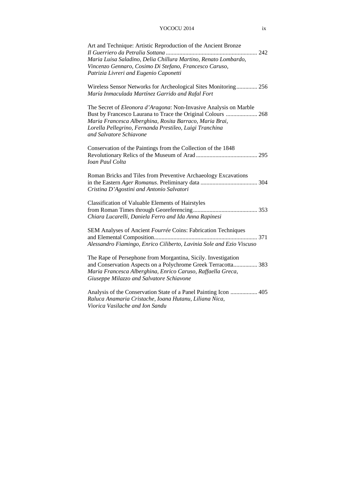#### YOCOCU 2014 ix

| Art and Technique: Artistic Reproduction of the Ancient Bronze<br>Maria Luisa Saladino, Delia Chillura Martino, Renato Lombardo,<br>Vincenzo Gennaro, Cosimo Di Stefano, Francesco Caruso,<br>Patrizia Livreri and Eugenio Caponetti                                               |
|------------------------------------------------------------------------------------------------------------------------------------------------------------------------------------------------------------------------------------------------------------------------------------|
| Wireless Sensor Networks for Archeological Sites Monitoring 256<br>María Inmaculada Martínez Garrido and Rafal Fort                                                                                                                                                                |
| The Secret of Eleonora d'Aragona: Non-Invasive Analysis on Marble<br>Bust by Francesco Laurana to Trace the Original Colours  268<br>Maria Francesca Alberghina, Rosita Barraco, Maria Brai,<br>Lorella Pellegrino, Fernanda Prestileo, Luigi Tranchina<br>and Salvatore Schiavone |
| Conservation of the Paintings from the Collection of the 1848<br><b><i>Ioan Paul Colta</i></b>                                                                                                                                                                                     |
| Roman Bricks and Tiles from Preventive Archaeology Excavations<br>Cristina D'Agostini and Antonio Salvatori                                                                                                                                                                        |
| <b>Classification of Valuable Elements of Hairstyles</b><br>Chiara Lucarelli, Daniela Ferro and Ida Anna Rapinesi                                                                                                                                                                  |
| SEM Analyses of Ancient Fourrée Coins: Fabrication Techniques<br>Alessandro Fiamingo, Enrico Ciliberto, Lavinia Sole and Ezio Viscuso                                                                                                                                              |
| The Rape of Persephone from Morgantina, Sicily. Investigation<br>and Conservation Aspects on a Polychrome Greek Terracotta 383<br>Maria Francesca Alberghina, Enrico Caruso, Raffaella Greca,<br>Giuseppe Milazzo and Salvatore Schiavone                                          |
| Analysis of the Conservation State of a Panel Painting Icon  405<br>Raluca Anamaria Cristache, Ioana Hutanu, Liliana Nica,<br>Viorica Vasilache and Ion Sandu                                                                                                                      |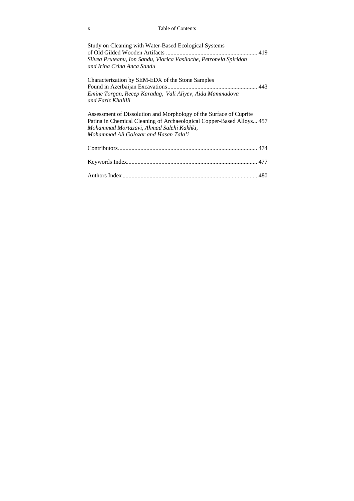#### x Table of Contents

| Study on Cleaning with Water-Based Ecological Systems<br>Silvea Pruteanu, Ion Sandu, Viorica Vasilache, Petronela Spiridon<br>and Irina Crina Anca Sandu                                                                         |  |
|----------------------------------------------------------------------------------------------------------------------------------------------------------------------------------------------------------------------------------|--|
| Characterization by SEM-EDX of the Stone Samples<br>Emine Torgan, Recep Karadag, Vali Aliyev, Aida Mammadova<br>and Fariz Khalilli                                                                                               |  |
| Assessment of Dissolution and Morphology of the Surface of Cuprite<br>Patina in Chemical Cleaning of Archaeological Copper-Based Alloys 457<br>Mohammad Mortazavi, Ahmad Salehi Kakhki,<br>Mohammad Ali Golozar and Hasan Tala'i |  |
|                                                                                                                                                                                                                                  |  |
|                                                                                                                                                                                                                                  |  |
|                                                                                                                                                                                                                                  |  |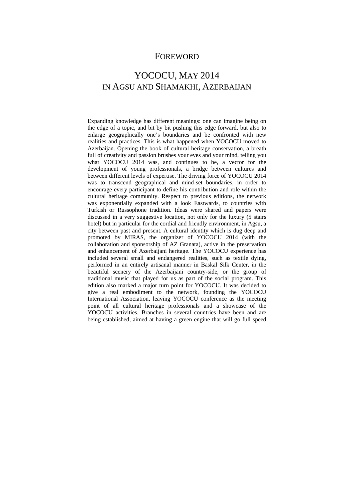### FOREWORD

# YOCOCU, MAY 2014 IN AGSU AND SHAMAKHI, AZERBAIJAN

Expanding knowledge has different meanings: one can imagine being on the edge of a topic, and bit by bit pushing this edge forward, but also to enlarge geographically one's boundaries and be confronted with new realities and practices. This is what happened when YOCOCU moved to Azerbaijan. Opening the book of cultural heritage conservation, a breath full of creativity and passion brushes your eyes and your mind, telling you what YOCOCU 2014 was, and continues to be, a vector for the development of young professionals, a bridge between cultures and between different levels of expertise. The driving force of YOCOCU 2014 was to transcend geographical and mind-set boundaries, in order to encourage every participant to define his contribution and role within the cultural heritage community. Respect to previous editions, the network was exponentially expanded with a look Eastwards, to countries with Turkish or Russophone tradition. Ideas were shared and papers were discussed in a very suggestive location, not only for the luxury (5 stairs hotel) but in particular for the cordial and friendly environment, in Agsu, a city between past and present. A cultural identity which is dug deep and promoted by MIRAS, the organizer of YOCOCU 2014 (with the collaboration and sponsorship of AZ Granata), active in the preservation and enhancement of Azerbaijani heritage. The YOCOCU experience has included several small and endangered realities, such as textile dying, performed in an entirely artisanal manner in Baskal Silk Center, in the beautiful scenery of the Azerbaijani country-side, or the group of traditional music that played for us as part of the social program. This edition also marked a major turn point for YOCOCU. It was decided to give a real embodiment to the network, founding the YOCOCU International Association, leaving YOCOCU conference as the meeting point of all cultural heritage professionals and a showcase of the YOCOCU activities. Branches in several countries have been and are being established, aimed at having a green engine that will go full speed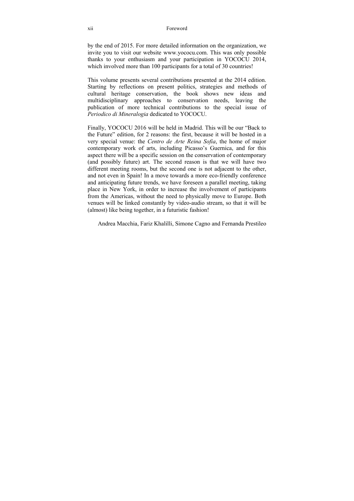#### xii Foreword

by the end of 2015. For more detailed information on the organization, we invite you to visit our website www.yococu.com. This was only possible thanks to your enthusiasm and your participation in YOCOCU 2014, which involved more than 100 participants for a total of 30 countries!

This volume presents several contributions presented at the 2014 edition. Starting by reflections on present politics, strategies and methods of cultural heritage conservation, the book shows new ideas and multidisciplinary approaches to conservation needs, leaving the publication of more technical contributions to the special issue of *Periodico di Mineralogia* dedicated to YOCOCU.

Finally, YOCOCU 2016 will be held in Madrid. This will be our "Back to the Future" edition, for 2 reasons: the first, because it will be hosted in a very special venue: the *Centro de Arte Reina Sofia*, the home of major contemporary work of arts, including Picasso's Guernica, and for this aspect there will be a specific session on the conservation of contemporary (and possibly future) art. The second reason is that we will have two different meeting rooms, but the second one is not adjacent to the other, and not even in Spain! In a move towards a more eco-friendly conference and anticipating future trends, we have foreseen a parallel meeting, taking place in New York, in order to increase the involvement of participants from the Americas, without the need to physically move to Europe. Both venues will be linked constantly by video-audio stream, so that it will be (almost) like being together, in a futuristic fashion!

Andrea Macchia, Fariz Khalilli, Simone Cagno and Fernanda Prestileo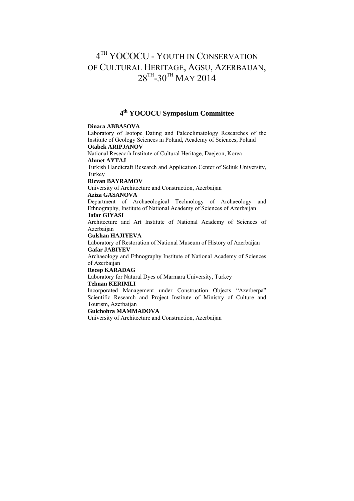# $4^{TH}$  YOCOCU - YOUTH IN CONSERVATION OF CULTURAL HERITAGE, AGSU, AZERBAIJAN,  $28^{TH} - 30^{TH}$  MAY 2014

### **4th YOCOCU Symposium Committee**

#### **Dinara ABBASOVA**

Laboratory of Isotope Dating and Paleoclimatology Researches of the Institute of Geology Sciences in Poland, Academy of Sciences, Poland

#### **Otabek ARIPJANOV**

National Reseacrh Institute of Cultural Heritage, Daejeon, Korea

#### **Ahmet AYTAJ**

Turkish Handicraft Research and Application Center of Seliuk University, Turkey

#### **Rizvan BAYRAMOV**

University of Architecture and Construction, Azerbaijan

#### **Aziza GASANOVA**

Department of Archaeological Technology of Archaeology and Ethnography, Institute of National Academy of Sciences of Azerbaijan **Jafar GIYASI** 

Architecture and Art Institute of National Academy of Sciences of Azerbaijan

#### **Gulshan HAJIYEVA**

Laboratory of Restoration of National Museum of History of Azerbaijan **Gafar JABIYEV** 

Archaeology and Ethnography Institute of National Academy of Sciences of Azerbaijan

#### **Recep KARADAG**

Laboratory for Natural Dyes of Marmara University, Turkey

#### **Telman KERIMLI**

Incorporated Management under Construction Objects "Azerberpa" Scientific Research and Project Institute of Ministry of Culture and Tourism, Azerbaijan

#### **Gulchohra MAMMADOVA**

University of Architecture and Construction, Azerbaijan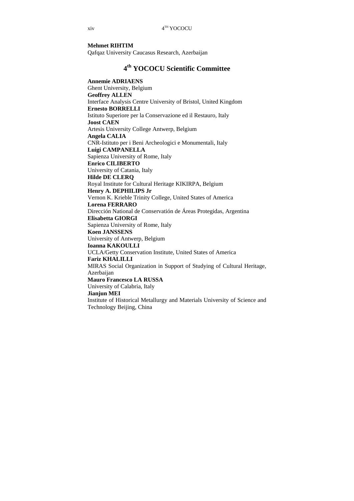#### **Mehmet RIHTIM**

Qafqaz University Caucasus Research, Azerbaijan

### **4th YOCOCU Scientific Committee**

**Annemie ADRIAENS**  Ghent University, Belgium **Geoffrey ALLEN**  Interface Analysis Centre University of Bristol, United Kingdom **Ernesto BORRELLI**  Istituto Superiore per la Conservazione ed il Restauro, Italy **Joost CAEN**  Artesis University College Antwerp, Belgium **Angela CALIA**  CNR-Istituto per i Beni Archeologici e Monumentali, Italy **Luigi CAMPANELLA**  Sapienza University of Rome, Italy **Enrico CILIBERTO**  University of Catania, Italy **Hilde DE CLERQ**  Royal Institute for Cultural Heritage KIKIRPA, Belgium **Henry A. DEPHILIPS Jr**  Vernon K. Krieble Trinity College, United States of America **Lorena FERRARO**  Dirección National de Conservatión de Áreas Protegidas, Argentina **Elisabetta GIORGI**  Sapienza University of Rome, Italy **Koen JANSSENS**  University of Antwerp, Belgium **Ioanna KAKOULLI**  UCLA/Getty Conservation Institute, United States of America **Fariz KHALILLI**  MIRAS Social Organization in Support of Studying of Cultural Heritage, Azerbaijan **Mauro Francesco LA RUSSA**  University of Calabria, Italy **Jianjun MEI**  Institute of Historical Metallurgy and Materials University of Science and Technology Beijing, China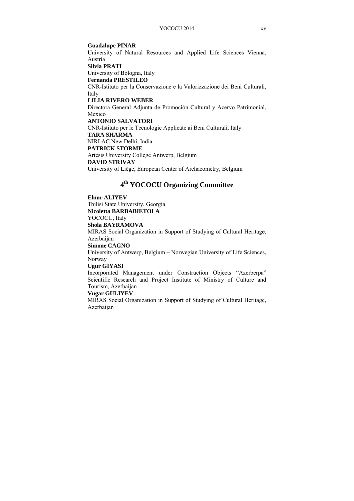#### **Guadalupe PINAR**

University of Natural Resources and Applied Life Sciences Vienna, Austria

#### **Silvia PRATI**

University of Bologna, Italy

#### **Fernanda PRESTILEO**

CNR-Istituto per la Conservazione e la Valorizzazione dei Beni Culturali, Italy

#### **LILIA RIVERO WEBER**

Directora General Adjunta de Promoción Cultural y Acervo Patrimonial, Mexico

#### **ANTONIO SALVATORI**

CNR-Istituto per le Tecnologie Applicate ai Beni Culturali, Italy **TARA SHARMA**  NIRLAC New Delhi, India **PATRICK STORME**  Artesis University College Antwerp, Belgium **DAVID STRIVAY**  University of Liège, European Center of Archaeometry, Belgium

## **4th YOCOCU Organizing Committee**

#### **Elnur ALIYEV**

Tbilisi State University, Georgia

# **Nicoletta BARBABIETOLA**

YOCOCU, Italy

#### **Shola BAYRAMOVA**

MIRAS Social Organization in Support of Studying of Cultural Heritage, Azerbaijan

#### **Simone CAGNO**

University of Antwerp, Belgium – Norwegian University of Life Sciences, Norway

#### **Ugur GIYASI**

Incorporated Management under Construction Objects "Azerberpa" Scientific Research and Project İnstitute of Ministry of Culture and Tourism, Azerbaijan

#### **Vugar GULIYEV**

MIRAS Social Organization in Support of Studying of Cultural Heritage, Azerbaijan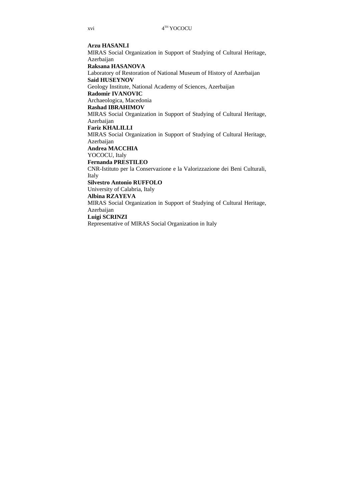#### **Arzu HASANLI**

MIRAS Social Organization in Support of Studying of Cultural Heritage, **Azerbaijan** 

#### **Raksana HASANOVA**

Laboratory of Restoration of National Museum of History of Azerbaijan **Said HUSEYNOV** 

Geology Institute, National Academy of Sciences, Azerbaijan

#### **Radomir IVANOVIC**

Archaeologica, Macedonia

#### **Rashad IBRAHIMOV**

MIRAS Social Organization in Support of Studying of Cultural Heritage, **Azerbaijan** 

#### **Fariz KHALILLI**

MIRAS Social Organization in Support of Studying of Cultural Heritage,

**Azerbaijan** 

#### **Andrea MACCHIA**

YOCOCU, Italy

#### **Fernanda PRESTILEO**

CNR-Istituto per la Conservazione e la Valorizzazione dei Beni Culturali, Italy

#### **Silvestro Antonio RUFFOLO**

University of Calabria, Italy

#### **Albina RZAYEVA**

MIRAS Social Organization in Support of Studying of Cultural Heritage, Azerbaijan

#### **Luigi SCRINZI**

Representative of MIRAS Social Organization in Italy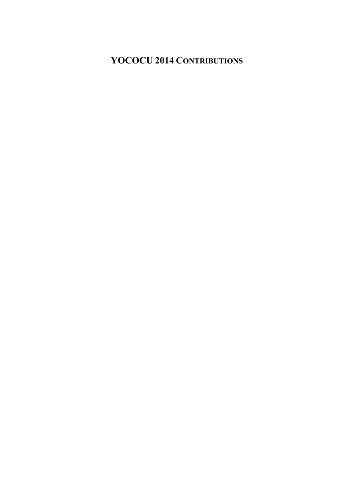# **YOCOCU 2014 CONTRIBUTIONS**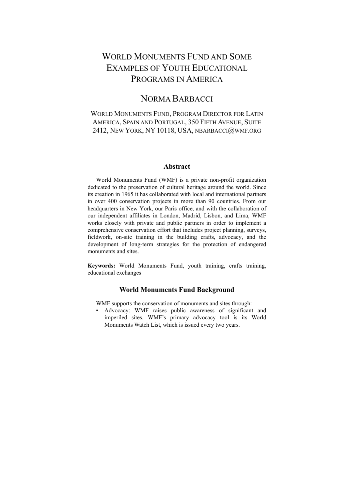# WORLD MONUMENTS FUND AND SOME EXAMPLES OF YOUTH EDUCATIONAL PROGRAMS IN AMERICA

## NORMA BARBACCI

### WORLD MONUMENTS FUND, PROGRAM DIRECTOR FOR LATIN AMERICA, SPAIN AND PORTUGAL, 350 FIFTH AVENUE, SUITE 2412, NEW YORK, NY 10118, USA, NBARBACCI@WMF.ORG

#### **Abstract**

World Monuments Fund (WMF) is a private non-profit organization dedicated to the preservation of cultural heritage around the world. Since its creation in 1965 it has collaborated with local and international partners in over 400 conservation projects in more than 90 countries. From our headquarters in New York, our Paris office, and with the collaboration of our independent affiliates in London, Madrid, Lisbon, and Lima, WMF works closely with private and public partners in order to implement a comprehensive conservation effort that includes project planning, surveys, fieldwork, on-site training in the building crafts, advocacy, and the development of long-term strategies for the protection of endangered monuments and sites.

**Keywords:** World Monuments Fund, youth training, crafts training, educational exchanges

#### **World Monuments Fund Background**

WMF supports the conservation of monuments and sites through:

• Advocacy: WMF raises public awareness of significant and imperiled sites. WMF's primary advocacy tool is its World Monuments Watch List, which is issued every two years.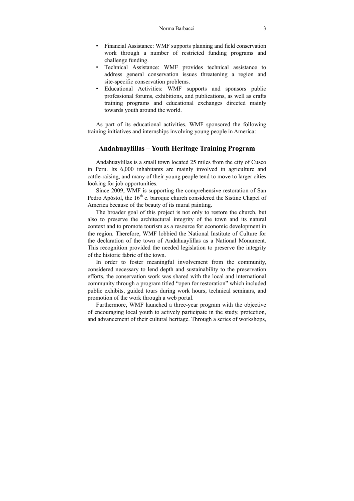- Financial Assistance: WMF supports planning and field conservation work through a number of restricted funding programs and challenge funding.
- Technical Assistance: WMF provides technical assistance to address general conservation issues threatening a region and site-specific conservation problems.
- Educational Activities: WMF supports and sponsors public professional forums, exhibitions, and publications, as well as crafts training programs and educational exchanges directed mainly towards youth around the world.

As part of its educational activities, WMF sponsored the following training initiatives and internships involving young people in America:

#### **Andahuaylillas – Youth Heritage Training Program**

Andahuaylillas is a small town located 25 miles from the city of Cusco in Peru. Its 6,000 inhabitants are mainly involved in agriculture and cattle-raising, and many of their young people tend to move to larger cities looking for job opportunities.

Since 2009, WMF is supporting the comprehensive restoration of San Pedro Apóstol, the  $16<sup>th</sup>$  c. baroque church considered the Sistine Chapel of America because of the beauty of its mural painting.

The broader goal of this project is not only to restore the church, but also to preserve the architectural integrity of the town and its natural context and to promote tourism as a resource for economic development in the region. Therefore, WMF lobbied the National Institute of Culture for the declaration of the town of Andahuaylillas as a National Monument. This recognition provided the needed legislation to preserve the integrity of the historic fabric of the town.

In order to foster meaningful involvement from the community, considered necessary to lend depth and sustainability to the preservation efforts, the conservation work was shared with the local and international community through a program titled "open for restoration" which included public exhibits, guided tours during work hours, technical seminars, and promotion of the work through a web portal.

Furthermore, WMF launched a three-year program with the objective of encouraging local youth to actively participate in the study, protection, and advancement of their cultural heritage. Through a series of workshops,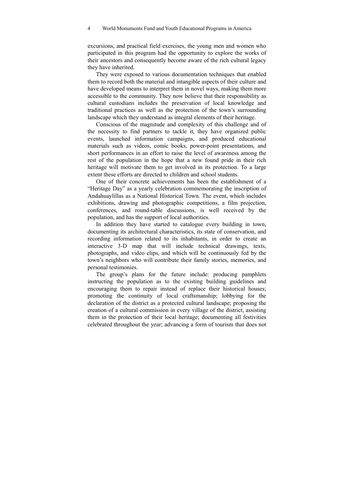excursions, and practical field exercises, the young men and women who participated in this program had the opportunity to explore the works of their ancestors and consequently become aware of the rich cultural legacy they have inherited.

They were exposed to various documentation techniques that enabled them to record both the material and intangible aspects of their culture and have developed means to interpret them in novel ways, making them more accessible to the community. They now believe that their responsibility as cultural custodians includes the preservation of local knowledge and traditional practices as well as the protection of the town's surrounding landscape which they understand as integral elements of their heritage.

Conscious of the magnitude and complexity of this challenge and of the necessity to find partners to tackle it, they have organized public events, launched information campaigns, and produced educational materials such as videos, comic books, power-point presentations, and short performances in an effort to raise the level of awareness among the rest of the population in the hope that a new found pride in their rich heritage will motivate them to get involved in its protection. To a large extent these efforts are directed to children and school students.

One of their concrete achievements has been the establishment of a "Heritage Day" as a yearly celebration commemorating the inscription of Andahuaylillas as a National Historical Town. The event, which includes exhibitions, drawing and photographic competitions, a film projection, conferences, and round-table discussions, is well received by the population, and has the support of local authorities.

In addition they have started to catalogue every building in town, documenting its architectural characteristics, its state of conservation, and recording information related to its inhabitants, in order to create an interactive 3-D map that will include technical drawings, texts, photographs, and video clips, and which will be continuously fed by the town's neighbors who will contribute their family stories, memories, and personal testimonies.

The group's plans for the future include: producing pamphlets instructing the population as to the existing building guidelines and encouraging them to repair instead of replace their historical houses; promoting the continuity of local craftsmanship; lobbying for the declaration of the district as a protected cultural landscape; proposing the creation of a cultural commission in every village of the district, assisting them in the protection of their local heritage; documenting all festivities celebrated throughout the year; advancing a form of tourism that does not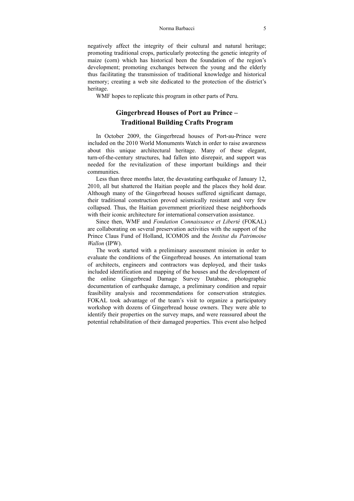#### Norma Barbacci 5

negatively affect the integrity of their cultural and natural heritage; promoting traditional crops, particularly protecting the genetic integrity of maize (corn) which has historical been the foundation of the region's development; promoting exchanges between the young and the elderly thus facilitating the transmission of traditional knowledge and historical memory; creating a web site dedicated to the protection of the district's heritage.

WMF hopes to replicate this program in other parts of Peru.

### **Gingerbread Houses of Port au Prince – Traditional Building Crafts Program**

In October 2009, the Gingerbread houses of Port-au-Prince were included on the 2010 World Monuments Watch in order to raise awareness about this unique architectural heritage. Many of these elegant, turn-of-the-century structures, had fallen into disrepair, and support was needed for the revitalization of these important buildings and their communities.

Less than three months later, the devastating earthquake of January 12, 2010, all but shattered the Haitian people and the places they hold dear. Although many of the Gingerbread houses suffered significant damage, their traditional construction proved seismically resistant and very few collapsed. Thus, the Haitian government prioritized these neighborhoods with their iconic architecture for international conservation assistance.

Since then, WMF and *Fondation Connaissance et Liberté* (FOKAL) are collaborating on several preservation activities with the support of the Prince Claus Fund of Holland, ICOMOS and the *Institut du Patrimoine Wallon* (IPW).

The work started with a preliminary assessment mission in order to evaluate the conditions of the Gingerbread houses. An international team of architects, engineers and contractors was deployed, and their tasks included identification and mapping of the houses and the development of the online Gingerbread Damage Survey Database, photographic documentation of earthquake damage, a preliminary condition and repair feasibility analysis and recommendations for conservation strategies. FOKAL took advantage of the team's visit to organize a participatory workshop with dozens of Gingerbread house owners. They were able to identify their properties on the survey maps, and were reassured about the potential rehabilitation of their damaged properties. This event also helped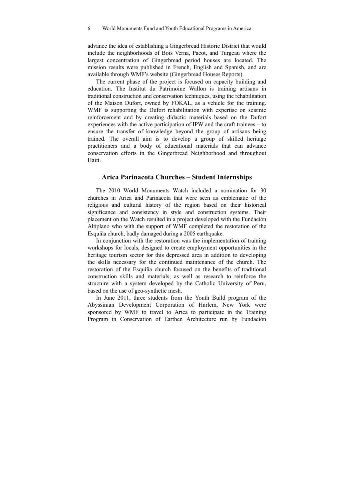advance the idea of establishing a Gingerbread Historic District that would include the neighborhoods of Bois Verna, Pacot, and Turgeau where the largest concentration of Gingerbread period houses are located. The mission results were published in French, English and Spanish, and are available through WMF's website (Gingerbread Houses Reports).

The current phase of the project is focused on capacity building and education. The Institut du Patrimoine Wallon is training artisans in traditional construction and conservation techniques, using the rehabilitation of the Maison Dufort, owned by FOKAL, as a vehicle for the training. WMF is supporting the Dufort rehabilitation with expertise on seismic reinforcement and by creating didactic materials based on the Dufort experiences with the active participation of IPW and the craft trainees – to ensure the transfer of knowledge beyond the group of artisans being trained. The overall aim is to develop a group of skilled heritage practitioners and a body of educational materials that can advance conservation efforts in the Gingerbread Neighborhood and throughout Haiti.

#### **Arica Parinacota Churches – Student Internships**

The 2010 World Monuments Watch included a nomination for 30 churches in Arica and Parinacota that were seen as emblematic of the religious and cultural history of the region based on their historical significance and consistency in style and construction systems. Their placement on the Watch resulted in a project developed with the Fundación Altiplano who with the support of WMF completed the restoration of the Esquiña church, badly damaged during a 2005 earthquake.

In conjunction with the restoration was the implementation of training workshops for locals, designed to create employment opportunities in the heritage tourism sector for this depressed area in addition to developing the skills necessary for the continued maintenance of the church. The restoration of the Esquiña church focused on the benefits of traditional construction skills and materials, as well as research to reinforce the structure with a system developed by the Catholic University of Peru, based on the use of geo-synthetic mesh.

In June 2011, three students from the Youth Build program of the Abyssinian Development Corporation of Harlem, New York were sponsored by WMF to travel to Arica to participate in the Training Program in Conservation of Earthen Architecture run by Fundación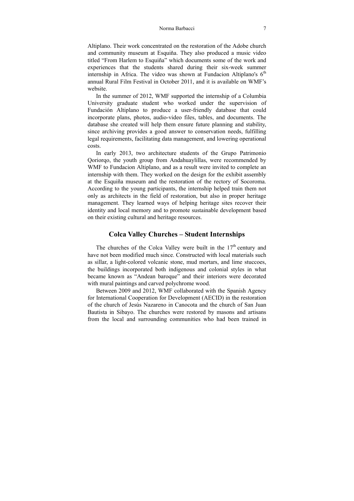#### Norma Barbacci 7

Altiplano. Their work concentrated on the restoration of the Adobe church and community museum at Esquiňa. They also produced a music video titled "From Harlem to Esquiña" which documents some of the work and experiences that the students shared during their six-week summer internship in Africa. The video was shown at Fundacion Altiplano's  $6<sup>th</sup>$ annual Rural Film Festival in October 2011, and it is available on WMF's website.

In the summer of 2012, WMF supported the internship of a Columbia University graduate student who worked under the supervision of Fundación Altiplano to produce a user-friendly database that could incorporate plans, photos, audio-video files, tables, and documents. The database she created will help them ensure future planning and stability, since archiving provides a good answer to conservation needs, fulfilling legal requirements, facilitating data management, and lowering operational costs.

In early 2013, two architecture students of the Grupo Patrimonio Qoriorqo, the youth group from Andahuaylillas, were recommended by WMF to Fundacion Altiplano, and as a result were invited to complete an internship with them. They worked on the design for the exhibit assembly at the Esquiña museum and the restoration of the rectory of Socoroma. According to the young participants, the internship helped train them not only as architects in the field of restoration, but also in proper heritage management. They learned ways of helping heritage sites recover their identity and local memory and to promote sustainable development based on their existing cultural and heritage resources.

#### **Colca Valley Churches – Student Internships**

The churches of the Colca Valley were built in the  $17<sup>th</sup>$  century and have not been modified much since. Constructed with local materials such as sillar, a light-colored volcanic stone, mud mortars, and lime stuccoes, the buildings incorporated both indigenous and colonial styles in what became known as "Andean baroque" and their interiors were decorated with mural paintings and carved polychrome wood.

Between 2009 and 2012, WMF collaborated with the Spanish Agency for International Cooperation for Development (AECID) in the restoration of the church of Jesús Nazareno in Canocota and the church of San Juan Bautista in Sibayo. The churches were restored by masons and artisans from the local and surrounding communities who had been trained in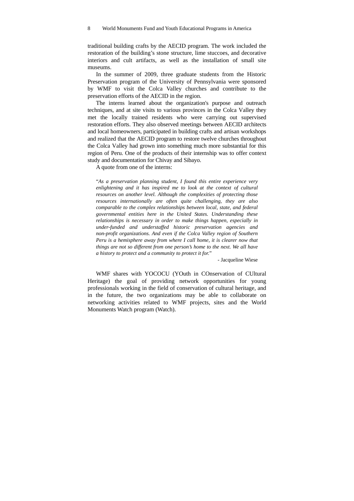traditional building crafts by the AECID program. The work included the restoration of the building's stone structure, lime stuccoes, and decorative interiors and cult artifacts, as well as the installation of small site museums.

In the summer of 2009, three graduate students from the Historic Preservation program of the University of Pennsylvania were sponsored by WMF to visit the Colca Valley churches and contribute to the preservation efforts of the AECID in the region.

The interns learned about the organization's purpose and outreach techniques, and at site visits to various provinces in the Colca Valley they met the locally trained residents who were carrying out supervised restoration efforts. They also observed meetings between AECID architects and local homeowners, participated in building crafts and artisan workshops and realized that the AECID program to restore twelve churches throughout the Colca Valley had grown into something much more substantial for this region of Peru. One of the products of their internship was to offer context study and documentation for Chivay and Sibayo.

A quote from one of the interns:

"*As a preservation planning student, I found this entire experience very enlightening and it has inspired me to look at the context of cultural resources on another level. Although the complexities of protecting those resources internationally are often quite challenging, they are also comparable to the complex relationships between local, state, and federal governmental entities here in the United States. Understanding these relationships is necessary in order to make things happen, especially in under-funded and understaffed historic preservation agencies and non-profit organizations. And even if the Colca Valley region of Southern Peru is a hemisphere away from where I call home, it is clearer now that things are not so different from one person's home to the next. We all have a history to protect and a community to protect it for.*"

- Jacqueline Wiese

WMF shares with YOCOCU (YOuth in COnservation of CUltural Heritage) the goal of providing network opportunities for young professionals working in the field of conservation of cultural heritage, and in the future, the two organizations may be able to collaborate on networking activities related to WMF projects, sites and the World Monuments Watch program (Watch).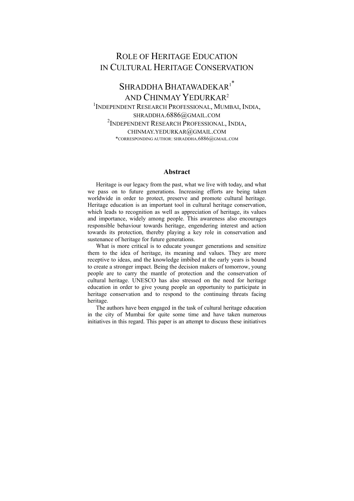# ROLE OF HERITAGE EDUCATION IN CULTURAL HERITAGE CONSERVATION

### SHRADDHA BHATAWADEKAR<sup>1\*</sup> AND CHINMAY YEDURKAR2 1 INDEPENDENT RESEARCH PROFESSIONAL, MUMBAI, INDIA, SHRADDHA.6886@GMAIL.COM <sup>2</sup>Independent Research Professional, India, CHINMAY.YEDURKAR@GMAIL.COM \*CORRESPONDING AUTHOR: SHRADDHA.6886@GMAIL.COM

#### **Abstract**

Heritage is our legacy from the past, what we live with today, and what we pass on to future generations. Increasing efforts are being taken worldwide in order to protect, preserve and promote cultural heritage. Heritage education is an important tool in cultural heritage conservation, which leads to recognition as well as appreciation of heritage, its values and importance, widely among people. This awareness also encourages responsible behaviour towards heritage, engendering interest and action towards its protection, thereby playing a key role in conservation and sustenance of heritage for future generations.

What is more critical is to educate younger generations and sensitize them to the idea of heritage, its meaning and values. They are more receptive to ideas, and the knowledge imbibed at the early years is bound to create a stronger impact. Being the decision makers of tomorrow, young people are to carry the mantle of protection and the conservation of cultural heritage. UNESCO has also stressed on the need for heritage education in order to give young people an opportunity to participate in heritage conservation and to respond to the continuing threats facing heritage.

The authors have been engaged in the task of cultural heritage education in the city of Mumbai for quite some time and have taken numerous initiatives in this regard. This paper is an attempt to discuss these initiatives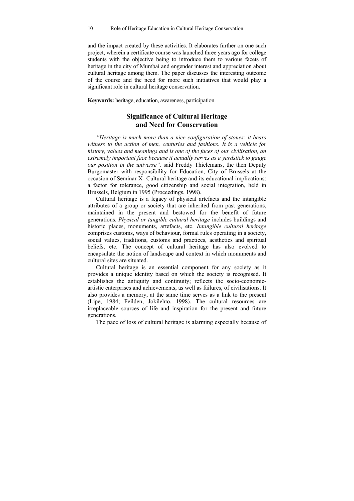and the impact created by these activities. It elaborates further on one such project, wherein a certificate course was launched three years ago for college students with the objective being to introduce them to various facets of heritage in the city of Mumbai and engender interest and appreciation about cultural heritage among them. The paper discusses the interesting outcome of the course and the need for more such initiatives that would play a significant role in cultural heritage conservation.

**Keywords:** heritage, education, awareness, participation.

### **Significance of Cultural Heritage and Need for Conservation**

*"Heritage is much more than a nice configuration of stones: it bears witness to the action of men, centuries and fashions. It is a vehicle for history, values and meanings and is one of the faces of our civilisation, an extremely important face because it actually serves as a yardstick to gauge our position in the universe",* said Freddy Thielemans, the then Deputy Burgomaster with responsibility for Education, City of Brussels at the occasion of Seminar X- Cultural heritage and its educational implications: a factor for tolerance, good citizenship and social integration, held in Brussels, Belgium in 1995 (Proceedings, 1998).

Cultural heritage is a legacy of physical artefacts and the intangible attributes of a group or society that are inherited from past generations, maintained in the present and bestowed for the benefit of future generations. *Physical or tangible cultural heritage* includes buildings and historic places, monuments, artefacts, etc. *Intangible cultural heritage* comprises customs, ways of behaviour, formal rules operating in a society, social values, traditions, customs and practices, aesthetics and spiritual beliefs, etc. The concept of cultural heritage has also evolved to encapsulate the notion of landscape and context in which monuments and cultural sites are situated.

Cultural heritage is an essential component for any society as it provides a unique identity based on which the society is recognised. It establishes the antiquity and continuity; reflects the socio-economicartistic enterprises and achievements, as well as failures, of civilisations. It also provides a memory, at the same time serves as a link to the present (Lipe, 1984; Feilden, Jokilehto, 1998). The cultural resources are irreplaceable sources of life and inspiration for the present and future generations.

The pace of loss of cultural heritage is alarming especially because of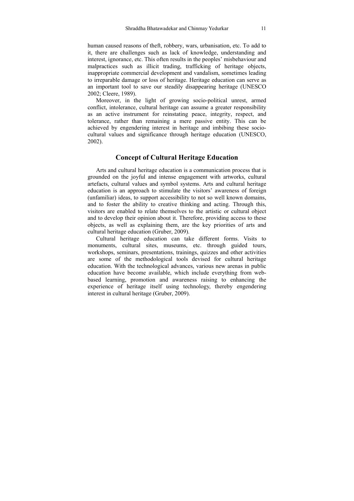human caused reasons of theft, robbery, wars, urbanisation, etc. To add to it, there are challenges such as lack of knowledge, understanding and interest, ignorance, etc. This often results in the peoples' misbehaviour and malpractices such as illicit trading, trafficking of heritage objects, inappropriate commercial development and vandalism, sometimes leading to irreparable damage or loss of heritage. Heritage education can serve as an important tool to save our steadily disappearing heritage (UNESCO 2002; Cleere, 1989).

Moreover, in the light of growing socio-political unrest, armed conflict, intolerance, cultural heritage can assume a greater responsibility as an active instrument for reinstating peace, integrity, respect, and tolerance, rather than remaining a mere passive entity. This can be achieved by engendering interest in heritage and imbibing these sociocultural values and significance through heritage education (UNESCO, 2002).

#### **Concept of Cultural Heritage Education**

Arts and cultural heritage education is a communication process that is grounded on the joyful and intense engagement with artworks, cultural artefacts, cultural values and symbol systems. Arts and cultural heritage education is an approach to stimulate the visitors' awareness of foreign (unfamiliar) ideas, to support accessibility to not so well known domains, and to foster the ability to creative thinking and acting. Through this, visitors are enabled to relate themselves to the artistic or cultural object and to develop their opinion about it. Therefore, providing access to these objects, as well as explaining them, are the key priorities of arts and cultural heritage education (Gruber, 2009).

Cultural heritage education can take different forms. Visits to monuments, cultural sites, museums, etc. through guided tours, workshops, seminars, presentations, trainings, quizzes and other activities are some of the methodological tools devised for cultural heritage education. With the technological advances, various new arenas in public education have become available, which include everything from webbased learning, promotion and awareness raising to enhancing the experience of heritage itself using technology, thereby engendering interest in cultural heritage (Gruber, 2009).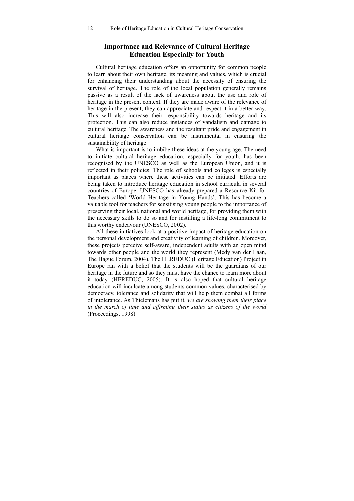#### **Importance and Relevance of Cultural Heritage Education Especially for Youth**

Cultural heritage education offers an opportunity for common people to learn about their own heritage, its meaning and values, which is crucial for enhancing their understanding about the necessity of ensuring the survival of heritage. The role of the local population generally remains passive as a result of the lack of awareness about the use and role of heritage in the present context. If they are made aware of the relevance of heritage in the present, they can appreciate and respect it in a better way. This will also increase their responsibility towards heritage and its protection. This can also reduce instances of vandalism and damage to cultural heritage. The awareness and the resultant pride and engagement in cultural heritage conservation can be instrumental in ensuring the sustainability of heritage.

What is important is to imbibe these ideas at the young age. The need to initiate cultural heritage education, especially for youth, has been recognised by the UNESCO as well as the European Union, and it is reflected in their policies. The role of schools and colleges is especially important as places where these activities can be initiated. Efforts are being taken to introduce heritage education in school curricula in several countries of Europe. UNESCO has already prepared a Resource Kit for Teachers called 'World Heritage in Young Hands'. This has become a valuable tool for teachers for sensitising young people to the importance of preserving their local, national and world heritage, for providing them with the necessary skills to do so and for instilling a life-long commitment to this worthy endeavour (UNESCO, 2002).

All these initiatives look at a positive impact of heritage education on the personal development and creativity of learning of children. Moreover, these projects perceive self-aware, independent adults with an open mind towards other people and the world they represent (Medy van der Laan, The Hague Forum, 2004). The HEREDUC (Heritage Education) Project in Europe ran with a belief that the students will be the guardians of our heritage in the future and so they must have the chance to learn more about it today (HEREDUC, 2005). It is also hoped that cultural heritage education will inculcate among students common values, characterised by democracy, tolerance and solidarity that will help them combat all forms of intolerance. As Thielemans has put it, *we are showing them their place in the march of time and affirming their status as citizens of the world*  (Proceedings, 1998).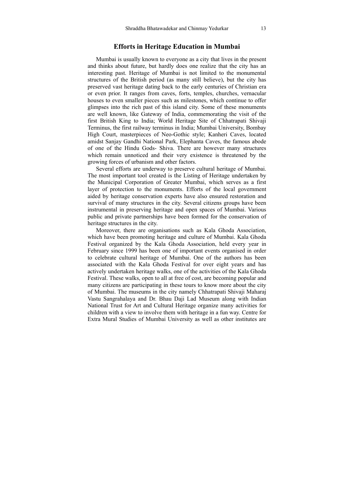#### **Efforts in Heritage Education in Mumbai**

Mumbai is usually known to everyone as a city that lives in the present and thinks about future, but hardly does one realize that the city has an interesting past. Heritage of Mumbai is not limited to the monumental structures of the British period (as many still believe), but the city has preserved vast heritage dating back to the early centuries of Christian era or even prior. It ranges from caves, forts, temples, churches, vernacular houses to even smaller pieces such as milestones, which continue to offer glimpses into the rich past of this island city. Some of these monuments are well known, like Gateway of India, commemorating the visit of the first British King to India; World Heritage Site of Chhatrapati Shivaji Terminus, the first railway terminus in India; Mumbai University, Bombay High Court, masterpieces of Neo-Gothic style; Kanheri Caves, located amidst Sanjay Gandhi National Park, Elephanta Caves, the famous abode of one of the Hindu Gods- Shiva. There are however many structures which remain unnoticed and their very existence is threatened by the growing forces of urbanism and other factors.

Several efforts are underway to preserve cultural heritage of Mumbai. The most important tool created is the Listing of Heritage undertaken by the Municipal Corporation of Greater Mumbai, which serves as a first layer of protection to the monuments. Efforts of the local government aided by heritage conservation experts have also ensured restoration and survival of many structures in the city. Several citizens groups have been instrumental in preserving heritage and open spaces of Mumbai. Various public and private partnerships have been formed for the conservation of heritage structures in the city.

Moreover, there are organisations such as Kala Ghoda Association, which have been promoting heritage and culture of Mumbai. Kala Ghoda Festival organized by the Kala Ghoda Association, held every year in February since 1999 has been one of important events organised in order to celebrate cultural heritage of Mumbai. One of the authors has been associated with the Kala Ghoda Festival for over eight years and has actively undertaken heritage walks, one of the activities of the Kala Ghoda Festival. These walks, open to all at free of cost, are becoming popular and many citizens are participating in these tours to know more about the city of Mumbai. The museums in the city namely Chhatrapati Shivaji Maharaj Vastu Sangrahalaya and Dr. Bhau Daji Lad Museum along with Indian National Trust for Art and Cultural Heritage organize many activities for children with a view to involve them with heritage in a fun way. Centre for Extra Mural Studies of Mumbai University as well as other institutes are